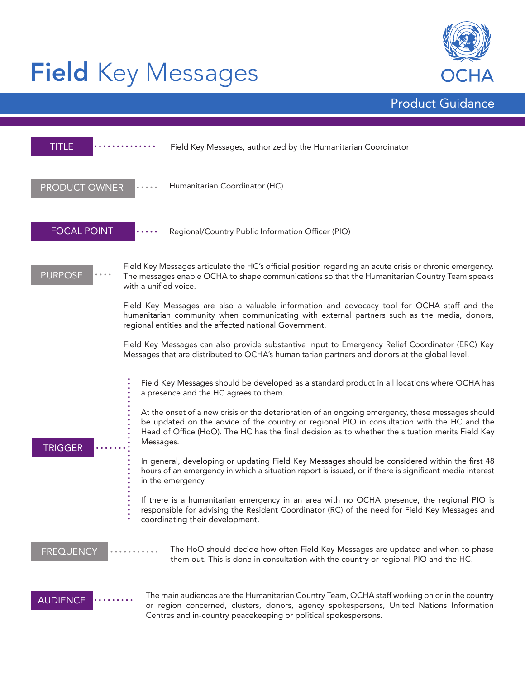# Field Key Messages



Product Guidance

| TITLE                                                                                                                                                                                            | Field Key Messages, authorized by the Humanitarian Coordinator                                                                                                                                                                                                                                                   |  |
|--------------------------------------------------------------------------------------------------------------------------------------------------------------------------------------------------|------------------------------------------------------------------------------------------------------------------------------------------------------------------------------------------------------------------------------------------------------------------------------------------------------------------|--|
| <b>PRODUCT OWNER</b>                                                                                                                                                                             | Humanitarian Coordinator (HC)                                                                                                                                                                                                                                                                                    |  |
| <b>FOCAL POINT</b>                                                                                                                                                                               | Regional/Country Public Information Officer (PIO)                                                                                                                                                                                                                                                                |  |
| <b>PURPOSE</b>                                                                                                                                                                                   | Field Key Messages articulate the HC's official position regarding an acute crisis or chronic emergency.<br>The messages enable OCHA to shape communications so that the Humanitarian Country Team speaks<br>with a unified voice.                                                                               |  |
|                                                                                                                                                                                                  | Field Key Messages are also a valuable information and advocacy tool for OCHA staff and the<br>humanitarian community when communicating with external partners such as the media, donors,<br>regional entities and the affected national Government.                                                            |  |
| Field Key Messages can also provide substantive input to Emergency Relief Coordinator (ERC) Key<br>Messages that are distributed to OCHA's humanitarian partners and donors at the global level. |                                                                                                                                                                                                                                                                                                                  |  |
| <b>TRIGGER</b>                                                                                                                                                                                   | Field Key Messages should be developed as a standard product in all locations where OCHA has<br>a presence and the HC agrees to them.                                                                                                                                                                            |  |
|                                                                                                                                                                                                  | At the onset of a new crisis or the deterioration of an ongoing emergency, these messages should<br>be updated on the advice of the country or regional PIO in consultation with the HC and the<br>Head of Office (HoO). The HC has the final decision as to whether the situation merits Field Key<br>Messages. |  |
|                                                                                                                                                                                                  | In general, developing or updating Field Key Messages should be considered within the first 48<br>hours of an emergency in which a situation report is issued, or if there is significant media interest<br>in the emergency.                                                                                    |  |
|                                                                                                                                                                                                  | If there is a humanitarian emergency in an area with no OCHA presence, the regional PIO is<br>responsible for advising the Resident Coordinator (RC) of the need for Field Key Messages and<br>coordinating their development.                                                                                   |  |
| The HoO should decide how often Field Key Messages are updated and when to phase<br><b>FREQUENCY</b><br>them out. This is done in consultation with the country or regional PIO and the HC.      |                                                                                                                                                                                                                                                                                                                  |  |
| <b>AUDIENCE</b>                                                                                                                                                                                  | The main audiences are the Humanitarian Country Team, OCHA staff working on or in the country<br>or region concerned, clusters, donors, agency spokespersons, United Nations Information<br>Centres and in-country peacekeeping or political spokespersons.                                                      |  |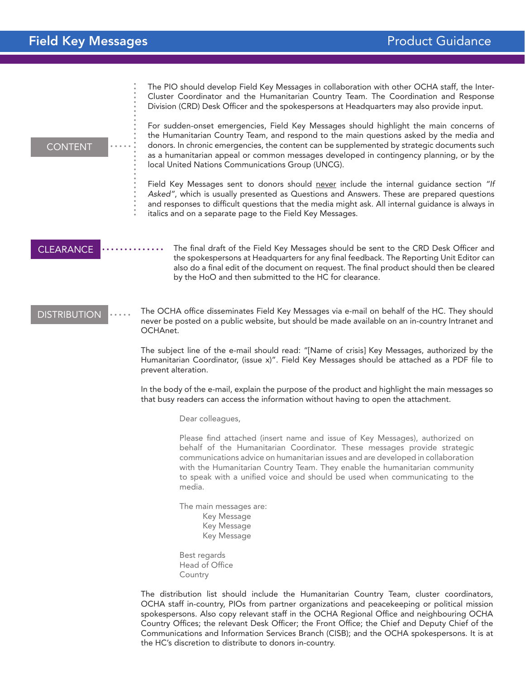•••••••••••••••••••••••••••••• •••••

The PIO should develop Field Key Messages in collaboration with other OCHA staff, the Inter-Cluster Coordinator and the Humanitarian Country Team. The Coordination and Response Division (CRD) Desk Officer and the spokespersons at Headquarters may also provide input.

#### **CONTENT**

For sudden-onset emergencies, Field Key Messages should highlight the main concerns of the Humanitarian Country Team, and respond to the main questions asked by the media and donors. In chronic emergencies, the content can be supplemented by strategic documents such as a humanitarian appeal or common messages developed in contingency planning, or by the local United Nations Communications Group (UNCG).

Field Key Messages sent to donors should never include the internal guidance section *"If Asked"*, which is usually presented as Questions and Answers. These are prepared questions and responses to difficult questions that the media might ask. All internal guidance is always in italics and on a separate page to the Field Key Messages.

#### **CLEARANCE**

The final draft of the Field Key Messages should be sent to the CRD Desk Officer and the spokespersons at Headquarters for any final feedback. The Reporting Unit Editor can also do a final edit of the document on request. The final product should then be cleared by the HoO and then submitted to the HC for clearance.

### **DISTRIBUTION**

The OCHA office disseminates Field Key Messages via e-mail on behalf of the HC. They should never be posted on a public website, but should be made available on an in-country Intranet and OCHAnet.

The subject line of the e-mail should read: "[Name of crisis] Key Messages, authorized by the Humanitarian Coordinator, (issue x)". Field Key Messages should be attached as a PDF file to prevent alteration.

In the body of the e-mail, explain the purpose of the product and highlight the main messages so that busy readers can access the information without having to open the attachment.

Dear colleagues,

Please find attached (insert name and issue of Key Messages), authorized on behalf of the Humanitarian Coordinator. These messages provide strategic communications advice on humanitarian issues and are developed in collaboration with the Humanitarian Country Team. They enable the humanitarian community to speak with a unified voice and should be used when communicating to the media.

The main messages are: Key Message Key Message Key Message

Best regards Head of Office Country

The distribution list should include the Humanitarian Country Team, cluster coordinators, OCHA staff in-country, PIOs from partner organizations and peacekeeping or political mission spokespersons. Also copy relevant staff in the OCHA Regional Office and neighbouring OCHA Country Offices; the relevant Desk Officer; the Front Office; the Chief and Deputy Chief of the Communications and Information Services Branch (CISB); and the OCHA spokespersons. It is at the HC's discretion to distribute to donors in-country.